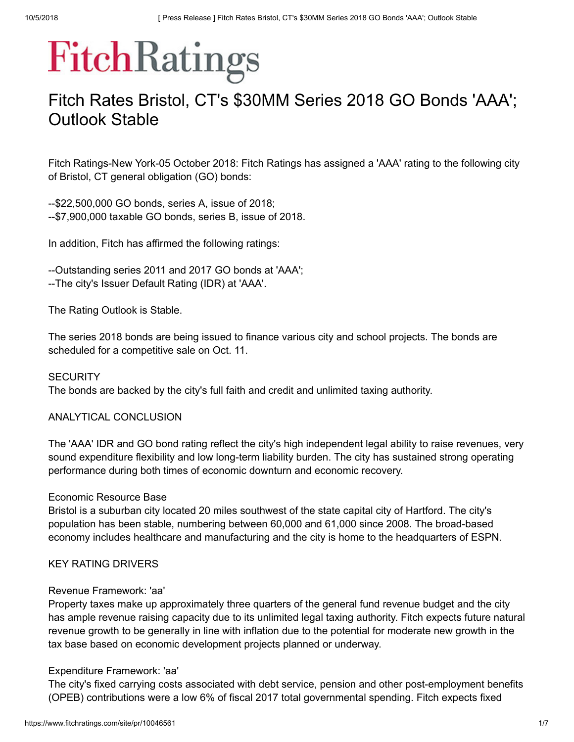# **FitchRatings**

# Fitch Rates Bristol, CT's \$30MM Series 2018 GO Bonds 'AAA'; Outlook Stable

Fitch Ratings-New York-05 October 2018: Fitch Ratings has assigned a 'AAA' rating to the following city of Bristol, CT general obligation (GO) bonds:

--\$22,500,000 GO bonds, series A, issue of 2018; --\$7,900,000 taxable GO bonds, series B, issue of 2018.

In addition, Fitch has affirmed the following ratings:

--Outstanding series 2011 and 2017 GO bonds at 'AAA'; --The city's Issuer Default Rating (IDR) at 'AAA'.

The Rating Outlook is Stable.

The series 2018 bonds are being issued to finance various city and school projects. The bonds are scheduled for a competitive sale on Oct. 11.

#### **SECURITY**

The bonds are backed by the city's full faith and credit and unlimited taxing authority.

# ANALYTICAL CONCLUSION

The 'AAA' IDR and GO bond rating reflect the city's high independent legal ability to raise revenues, very sound expenditure flexibility and low long-term liability burden. The city has sustained strong operating performance during both times of economic downturn and economic recovery.

#### Economic Resource Base

Bristol is a suburban city located 20 miles southwest of the state capital city of Hartford. The city's population has been stable, numbering between 60,000 and 61,000 since 2008. The broad-based economy includes healthcare and manufacturing and the city is home to the headquarters of ESPN.

# KEY RATING DRIVERS

#### Revenue Framework: 'aa'

Property taxes make up approximately three quarters of the general fund revenue budget and the city has ample revenue raising capacity due to its unlimited legal taxing authority. Fitch expects future natural revenue growth to be generally in line with inflation due to the potential for moderate new growth in the tax base based on economic development projects planned or underway.

#### Expenditure Framework: 'aa'

The city's fixed carrying costs associated with debt service, pension and other post-employment benefits (OPEB) contributions were a low 6% of fiscal 2017 total governmental spending. Fitch expects fixed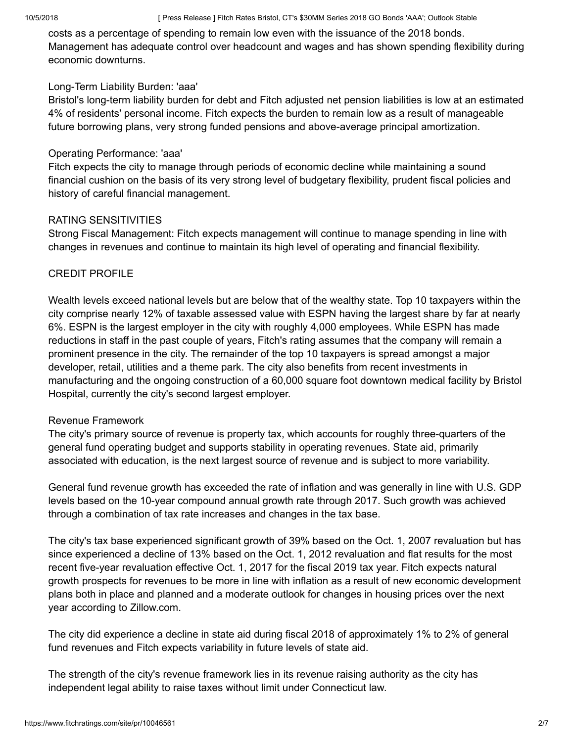costs as a percentage of spending to remain low even with the issuance of the 2018 bonds. Management has adequate control over headcount and wages and has shown spending flexibility during economic downturns.

# Long-Term Liability Burden: 'aaa'

Bristol's long-term liability burden for debt and Fitch adjusted net pension liabilities is low at an estimated 4% of residents' personal income. Fitch expects the burden to remain low as a result of manageable future borrowing plans, very strong funded pensions and above-average principal amortization.

# Operating Performance: 'aaa'

Fitch expects the city to manage through periods of economic decline while maintaining a sound financial cushion on the basis of its very strong level of budgetary flexibility, prudent fiscal policies and history of careful financial management.

# RATING SENSITIVITIES

Strong Fiscal Management: Fitch expects management will continue to manage spending in line with changes in revenues and continue to maintain its high level of operating and financial flexibility.

# CREDIT PROFILE

Wealth levels exceed national levels but are below that of the wealthy state. Top 10 taxpayers within the city comprise nearly 12% of taxable assessed value with ESPN having the largest share by far at nearly 6%. ESPN is the largest employer in the city with roughly 4,000 employees. While ESPN has made reductions in staff in the past couple of years, Fitch's rating assumes that the company will remain a prominent presence in the city. The remainder of the top 10 taxpayers is spread amongst a major developer, retail, utilities and a theme park. The city also benefits from recent investments in manufacturing and the ongoing construction of a 60,000 square foot downtown medical facility by Bristol Hospital, currently the city's second largest employer.

# Revenue Framework

The city's primary source of revenue is property tax, which accounts for roughly three-quarters of the general fund operating budget and supports stability in operating revenues. State aid, primarily associated with education, is the next largest source of revenue and is subject to more variability.

General fund revenue growth has exceeded the rate of inflation and was generally in line with U.S. GDP levels based on the 10-year compound annual growth rate through 2017. Such growth was achieved through a combination of tax rate increases and changes in the tax base.

The city's tax base experienced significant growth of 39% based on the Oct. 1, 2007 revaluation but has since experienced a decline of 13% based on the Oct. 1, 2012 revaluation and flat results for the most recent five-year revaluation effective Oct. 1, 2017 for the fiscal 2019 tax year. Fitch expects natural growth prospects for revenues to be more in line with inflation as a result of new economic development plans both in place and planned and a moderate outlook for changes in housing prices over the next year according to Zillow.com.

The city did experience a decline in state aid during fiscal 2018 of approximately 1% to 2% of general fund revenues and Fitch expects variability in future levels of state aid.

The strength of the city's revenue framework lies in its revenue raising authority as the city has independent legal ability to raise taxes without limit under Connecticut law.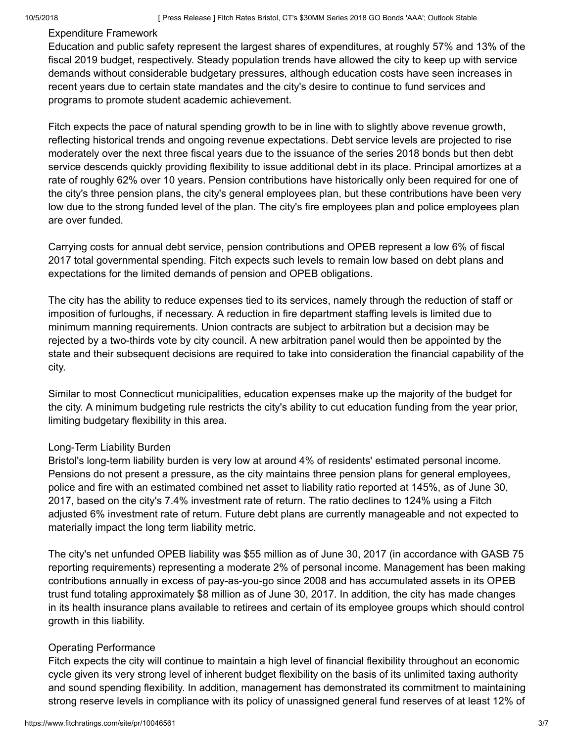# Expenditure Framework

Education and public safety represent the largest shares of expenditures, at roughly 57% and 13% of the fiscal 2019 budget, respectively. Steady population trends have allowed the city to keep up with service demands without considerable budgetary pressures, although education costs have seen increases in recent years due to certain state mandates and the city's desire to continue to fund services and programs to promote student academic achievement.

Fitch expects the pace of natural spending growth to be in line with to slightly above revenue growth, reflecting historical trends and ongoing revenue expectations. Debt service levels are projected to rise moderately over the next three fiscal years due to the issuance of the series 2018 bonds but then debt service descends quickly providing flexibility to issue additional debt in its place. Principal amortizes at a rate of roughly 62% over 10 years. Pension contributions have historically only been required for one of the city's three pension plans, the city's general employees plan, but these contributions have been very low due to the strong funded level of the plan. The city's fire employees plan and police employees plan are over funded.

Carrying costs for annual debt service, pension contributions and OPEB represent a low 6% of fiscal 2017 total governmental spending. Fitch expects such levels to remain low based on debt plans and expectations for the limited demands of pension and OPEB obligations.

The city has the ability to reduce expenses tied to its services, namely through the reduction of staff or imposition of furloughs, if necessary. A reduction in fire department staffing levels is limited due to minimum manning requirements. Union contracts are subject to arbitration but a decision may be rejected by a two-thirds vote by city council. A new arbitration panel would then be appointed by the state and their subsequent decisions are required to take into consideration the financial capability of the city.

Similar to most Connecticut municipalities, education expenses make up the majority of the budget for the city. A minimum budgeting rule restricts the city's ability to cut education funding from the year prior, limiting budgetary flexibility in this area.

# Long-Term Liability Burden

Bristol's long-term liability burden is very low at around 4% of residents' estimated personal income. Pensions do not present a pressure, as the city maintains three pension plans for general employees, police and fire with an estimated combined net asset to liability ratio reported at 145%, as of June 30, 2017, based on the city's 7.4% investment rate of return. The ratio declines to 124% using a Fitch adjusted 6% investment rate of return. Future debt plans are currently manageable and not expected to materially impact the long term liability metric.

The city's net unfunded OPEB liability was \$55 million as of June 30, 2017 (in accordance with GASB 75 reporting requirements) representing a moderate 2% of personal income. Management has been making contributions annually in excess of pay-as-you-go since 2008 and has accumulated assets in its OPEB trust fund totaling approximately \$8 million as of June 30, 2017. In addition, the city has made changes in its health insurance plans available to retirees and certain of its employee groups which should control growth in this liability.

# Operating Performance

Fitch expects the city will continue to maintain a high level of financial flexibility throughout an economic cycle given its very strong level of inherent budget flexibility on the basis of its unlimited taxing authority and sound spending flexibility. In addition, management has demonstrated its commitment to maintaining strong reserve levels in compliance with its policy of unassigned general fund reserves of at least 12% of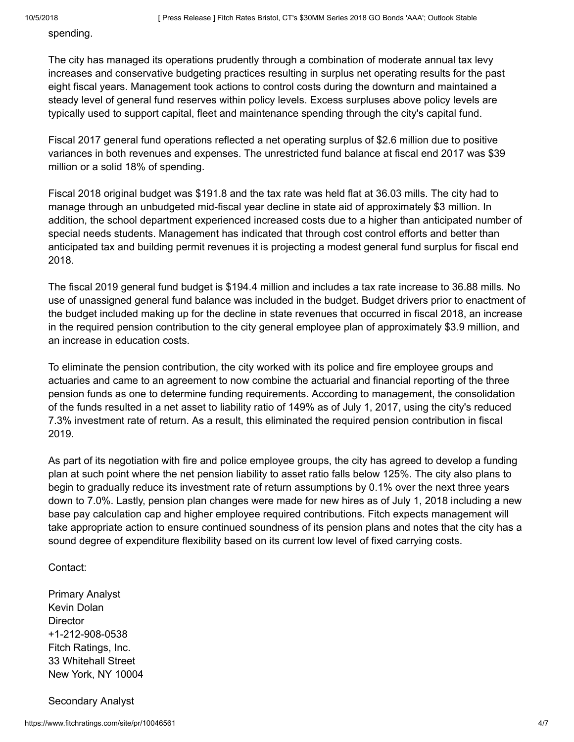spending.

The city has managed its operations prudently through a combination of moderate annual tax levy increases and conservative budgeting practices resulting in surplus net operating results for the past eight fiscal years. Management took actions to control costs during the downturn and maintained a steady level of general fund reserves within policy levels. Excess surpluses above policy levels are typically used to support capital, fleet and maintenance spending through the city's capital fund.

Fiscal 2017 general fund operations reflected a net operating surplus of \$2.6 million due to positive variances in both revenues and expenses. The unrestricted fund balance at fiscal end 2017 was \$39 million or a solid 18% of spending.

Fiscal 2018 original budget was \$191.8 and the tax rate was held flat at 36.03 mills. The city had to manage through an unbudgeted mid-fiscal year decline in state aid of approximately \$3 million. In addition, the school department experienced increased costs due to a higher than anticipated number of special needs students. Management has indicated that through cost control efforts and better than anticipated tax and building permit revenues it is projecting a modest general fund surplus for fiscal end 2018.

The fiscal 2019 general fund budget is \$194.4 million and includes a tax rate increase to 36.88 mills. No use of unassigned general fund balance was included in the budget. Budget drivers prior to enactment of the budget included making up for the decline in state revenues that occurred in fiscal 2018, an increase in the required pension contribution to the city general employee plan of approximately \$3.9 million, and an increase in education costs.

To eliminate the pension contribution, the city worked with its police and fire employee groups and actuaries and came to an agreement to now combine the actuarial and financial reporting of the three pension funds as one to determine funding requirements. According to management, the consolidation of the funds resulted in a net asset to liability ratio of 149% as of July 1, 2017, using the city's reduced 7.3% investment rate of return. As a result, this eliminated the required pension contribution in fiscal 2019.

As part of its negotiation with fire and police employee groups, the city has agreed to develop a funding plan at such point where the net pension liability to asset ratio falls below 125%. The city also plans to begin to gradually reduce its investment rate of return assumptions by 0.1% over the next three years down to 7.0%. Lastly, pension plan changes were made for new hires as of July 1, 2018 including a new base pay calculation cap and higher employee required contributions. Fitch expects management will take appropriate action to ensure continued soundness of its pension plans and notes that the city has a sound degree of expenditure flexibility based on its current low level of fixed carrying costs.

Contact:

Primary Analyst Kevin Dolan **Director** +1-212-908-0538 Fitch Ratings, Inc. 33 Whitehall Street New York, NY 10004

Secondary Analyst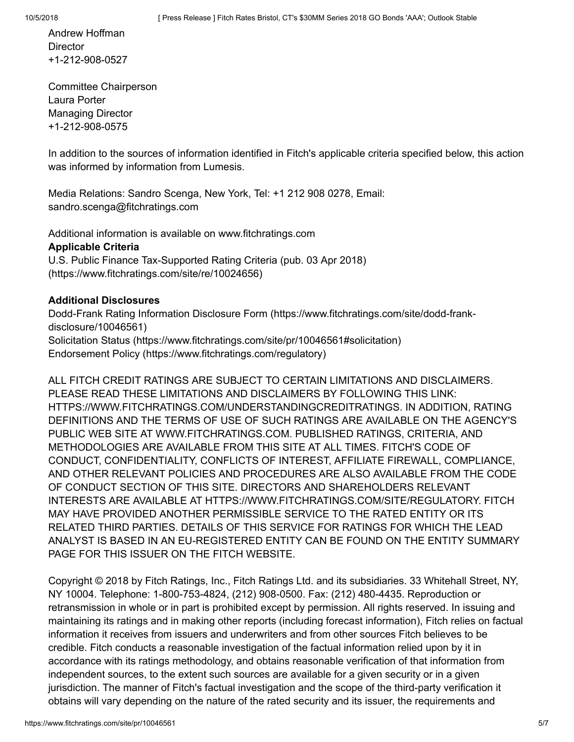Andrew Hoffman **Director** +1-212-908-0527

Committee Chairperson Laura Porter Managing Director +1-212-908-0575

In addition to the sources of information identified in Fitch's applicable criteria specified below, this action was informed by information from Lumesis.

Media Relations: Sandro Scenga, New York, Tel: +1 212 908 0278, Email: sandro.scenga@fitchratings.com

Additional information is available on www.fitchratings.com **Applicable Criteria** U.S. Public Finance Tax-Supported Rating Criteria (pub. 03 Apr 2018) [\(https://www.fitchratings.com/site/re/10024656\)](https://www.fitchratings.com/site/re/10024656)

# **Additional Disclosures**

Dodd-Frank Rating Information Disclosure Form [\(https://www.fitchratings.com/site/dodd-frank](https://www.fitchratings.com/site/dodd-frank-disclosure/10046561)disclosure/10046561) Solicitation Status [\(https://www.fitchratings.com/site/pr/10046561#solicitation\)](#page-6-0) Endorsement Policy [\(https://www.fitchratings.com/regulatory\)](https://www.fitchratings.com/regulatory)

ALL FITCH CREDIT RATINGS ARE SUBJECT TO CERTAIN LIMITATIONS AND DISCLAIMERS. PLEASE READ THESE LIMITATIONS AND DISCLAIMERS BY FOLLOWING THIS LINK: HTTPS://WWW.FITCHRATINGS.COM/UNDERSTANDINGCREDITRATINGS. IN ADDITION, RATING DEFINITIONS AND THE TERMS OF USE OF SUCH RATINGS ARE AVAILABLE ON THE AGENCY'S PUBLIC WEB SITE AT WWW.FITCHRATINGS.COM. PUBLISHED RATINGS, CRITERIA, AND METHODOLOGIES ARE AVAILABLE FROM THIS SITE AT ALL TIMES. FITCH'S CODE OF CONDUCT, CONFIDENTIALITY, CONFLICTS OF INTEREST, AFFILIATE FIREWALL, COMPLIANCE, AND OTHER RELEVANT POLICIES AND PROCEDURES ARE ALSO AVAILABLE FROM THE CODE OF CONDUCT SECTION OF THIS SITE. DIRECTORS AND SHAREHOLDERS RELEVANT INTERESTS ARE AVAILABLE AT HTTPS://WWW.FITCHRATINGS.COM/SITE/REGULATORY. FITCH MAY HAVE PROVIDED ANOTHER PERMISSIBLE SERVICE TO THE RATED ENTITY OR ITS RELATED THIRD PARTIES. DETAILS OF THIS SERVICE FOR RATINGS FOR WHICH THE LEAD ANALYST IS BASED IN AN EU-REGISTERED ENTITY CAN BE FOUND ON THE ENTITY SUMMARY PAGE FOR THIS ISSUER ON THE FITCH WEBSITE.

Copyright © 2018 by Fitch Ratings, Inc., Fitch Ratings Ltd. and its subsidiaries. 33 Whitehall Street, NY, NY 10004. Telephone: 1-800-753-4824, (212) 908-0500. Fax: (212) 480-4435. Reproduction or retransmission in whole or in part is prohibited except by permission. All rights reserved. In issuing and maintaining its ratings and in making other reports (including forecast information), Fitch relies on factual information it receives from issuers and underwriters and from other sources Fitch believes to be credible. Fitch conducts a reasonable investigation of the factual information relied upon by it in accordance with its ratings methodology, and obtains reasonable verification of that information from independent sources, to the extent such sources are available for a given security or in a given jurisdiction. The manner of Fitch's factual investigation and the scope of the third-party verification it obtains will vary depending on the nature of the rated security and its issuer, the requirements and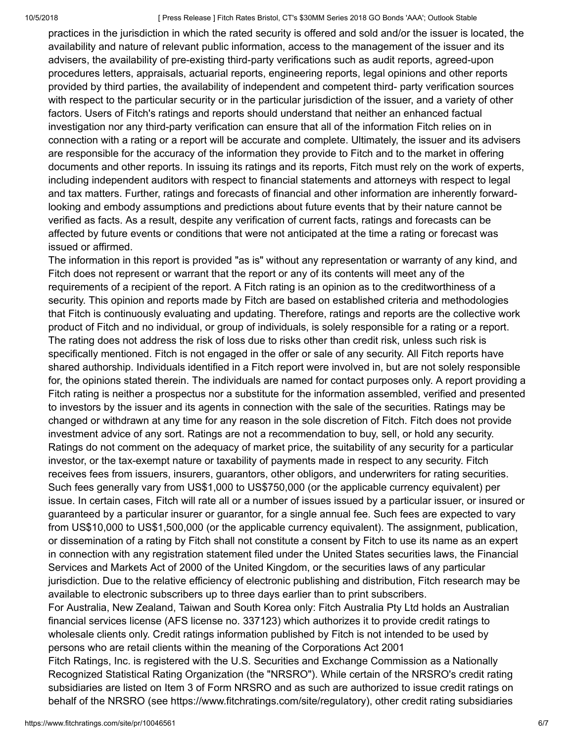#### 10/5/2018 [ Press Release ] Fitch Rates Bristol, CT's \$30MM Series 2018 GO Bonds 'AAA'; Outlook Stable

practices in the jurisdiction in which the rated security is offered and sold and/or the issuer is located, the availability and nature of relevant public information, access to the management of the issuer and its advisers, the availability of pre-existing third-party verifications such as audit reports, agreed-upon procedures letters, appraisals, actuarial reports, engineering reports, legal opinions and other reports provided by third parties, the availability of independent and competent third- party verification sources with respect to the particular security or in the particular jurisdiction of the issuer, and a variety of other factors. Users of Fitch's ratings and reports should understand that neither an enhanced factual investigation nor any third-party verification can ensure that all of the information Fitch relies on in connection with a rating or a report will be accurate and complete. Ultimately, the issuer and its advisers are responsible for the accuracy of the information they provide to Fitch and to the market in offering documents and other reports. In issuing its ratings and its reports, Fitch must rely on the work of experts, including independent auditors with respect to financial statements and attorneys with respect to legal and tax matters. Further, ratings and forecasts of financial and other information are inherently forwardlooking and embody assumptions and predictions about future events that by their nature cannot be verified as facts. As a result, despite any verification of current facts, ratings and forecasts can be affected by future events or conditions that were not anticipated at the time a rating or forecast was issued or affirmed.

The information in this report is provided "as is" without any representation or warranty of any kind, and Fitch does not represent or warrant that the report or any of its contents will meet any of the requirements of a recipient of the report. A Fitch rating is an opinion as to the creditworthiness of a security. This opinion and reports made by Fitch are based on established criteria and methodologies that Fitch is continuously evaluating and updating. Therefore, ratings and reports are the collective work product of Fitch and no individual, or group of individuals, is solely responsible for a rating or a report. The rating does not address the risk of loss due to risks other than credit risk, unless such risk is specifically mentioned. Fitch is not engaged in the offer or sale of any security. All Fitch reports have shared authorship. Individuals identified in a Fitch report were involved in, but are not solely responsible for, the opinions stated therein. The individuals are named for contact purposes only. A report providing a Fitch rating is neither a prospectus nor a substitute for the information assembled, verified and presented to investors by the issuer and its agents in connection with the sale of the securities. Ratings may be changed or withdrawn at any time for any reason in the sole discretion of Fitch. Fitch does not provide investment advice of any sort. Ratings are not a recommendation to buy, sell, or hold any security. Ratings do not comment on the adequacy of market price, the suitability of any security for a particular investor, or the tax-exempt nature or taxability of payments made in respect to any security. Fitch receives fees from issuers, insurers, guarantors, other obligors, and underwriters for rating securities. Such fees generally vary from US\$1,000 to US\$750,000 (or the applicable currency equivalent) per issue. In certain cases, Fitch will rate all or a number of issues issued by a particular issuer, or insured or guaranteed by a particular insurer or guarantor, for a single annual fee. Such fees are expected to vary from US\$10,000 to US\$1,500,000 (or the applicable currency equivalent). The assignment, publication, or dissemination of a rating by Fitch shall not constitute a consent by Fitch to use its name as an expert in connection with any registration statement filed under the United States securities laws, the Financial Services and Markets Act of 2000 of the United Kingdom, or the securities laws of any particular jurisdiction. Due to the relative efficiency of electronic publishing and distribution, Fitch research may be available to electronic subscribers up to three days earlier than to print subscribers.

For Australia, New Zealand, Taiwan and South Korea only: Fitch Australia Pty Ltd holds an Australian financial services license (AFS license no. 337123) which authorizes it to provide credit ratings to wholesale clients only. Credit ratings information published by Fitch is not intended to be used by persons who are retail clients within the meaning of the Corporations Act 2001

Fitch Ratings, Inc. is registered with the U.S. Securities and Exchange Commission as a Nationally Recognized Statistical Rating Organization (the "NRSRO"). While certain of the NRSRO's credit rating subsidiaries are listed on Item 3 of Form NRSRO and as such are authorized to issue credit ratings on behalf of the NRSRO (see https://www.fitchratings.com/site/regulatory), other credit rating subsidiaries